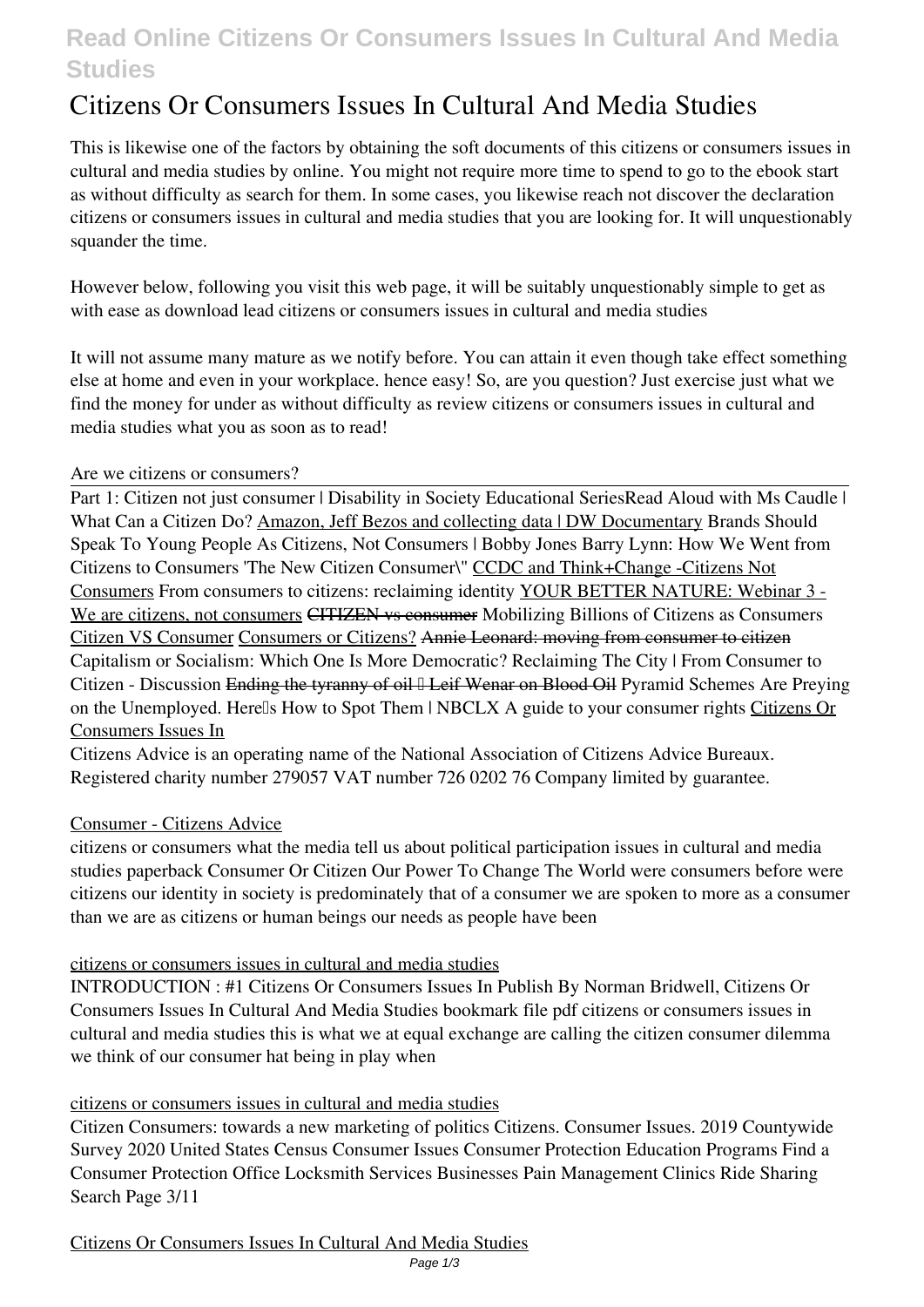# **Read Online Citizens Or Consumers Issues In Cultural And Media Studies**

# **Citizens Or Consumers Issues In Cultural And Media Studies**

This is likewise one of the factors by obtaining the soft documents of this **citizens or consumers issues in cultural and media studies** by online. You might not require more time to spend to go to the ebook start as without difficulty as search for them. In some cases, you likewise reach not discover the declaration citizens or consumers issues in cultural and media studies that you are looking for. It will unquestionably squander the time.

However below, following you visit this web page, it will be suitably unquestionably simple to get as with ease as download lead citizens or consumers issues in cultural and media studies

It will not assume many mature as we notify before. You can attain it even though take effect something else at home and even in your workplace. hence easy! So, are you question? Just exercise just what we find the money for under as without difficulty as review **citizens or consumers issues in cultural and media studies** what you as soon as to read!

# *Are we citizens or consumers?*

Part 1: Citizen not just consumer | Disability in Society Educational Series**Read Aloud with Ms Caudle | What Can a Citizen Do?** Amazon, Jeff Bezos and collecting data | DW Documentary *Brands Should Speak To Young People As Citizens, Not Consumers | Bobby Jones* **Barry Lynn: How We Went from Citizens to Consumers 'The New Citizen Consumer\"** CCDC and Think+Change -Citizens Not Consumers From consumers to citizens: reclaiming identity YOUR BETTER NATURE: Webinar 3 - We are citizens, not consumers CITIZEN vs consumer *Mobilizing Billions of Citizens as Consumers* Citizen VS Consumer Consumers or Citizens? Annie Leonard: moving from consumer to citizen *Capitalism or Socialism: Which One Is More Democratic? Reclaiming The City | From Consumer to Citizen - Discussion* Ending the tyranny of oil <sup>[</sup>] Leif Wenar on Blood Oil Pyramid Schemes Are Preying **on the Unemployed. Here's How to Spot Them | NBCLX A guide to your consumer rights** Citizens Or Consumers Issues In

Citizens Advice is an operating name of the National Association of Citizens Advice Bureaux. Registered charity number 279057 VAT number 726 0202 76 Company limited by guarantee.

# Consumer - Citizens Advice

citizens or consumers what the media tell us about political participation issues in cultural and media studies paperback Consumer Or Citizen Our Power To Change The World were consumers before were citizens our identity in society is predominately that of a consumer we are spoken to more as a consumer than we are as citizens or human beings our needs as people have been

# citizens or consumers issues in cultural and media studies

INTRODUCTION : #1 Citizens Or Consumers Issues In Publish By Norman Bridwell, Citizens Or Consumers Issues In Cultural And Media Studies bookmark file pdf citizens or consumers issues in cultural and media studies this is what we at equal exchange are calling the citizen consumer dilemma we think of our consumer hat being in play when

# citizens or consumers issues in cultural and media studies

Citizen Consumers: towards a new marketing of politics Citizens. Consumer Issues. 2019 Countywide Survey 2020 United States Census Consumer Issues Consumer Protection Education Programs Find a Consumer Protection Office Locksmith Services Businesses Pain Management Clinics Ride Sharing Search Page 3/11

Citizens Or Consumers Issues In Cultural And Media Studies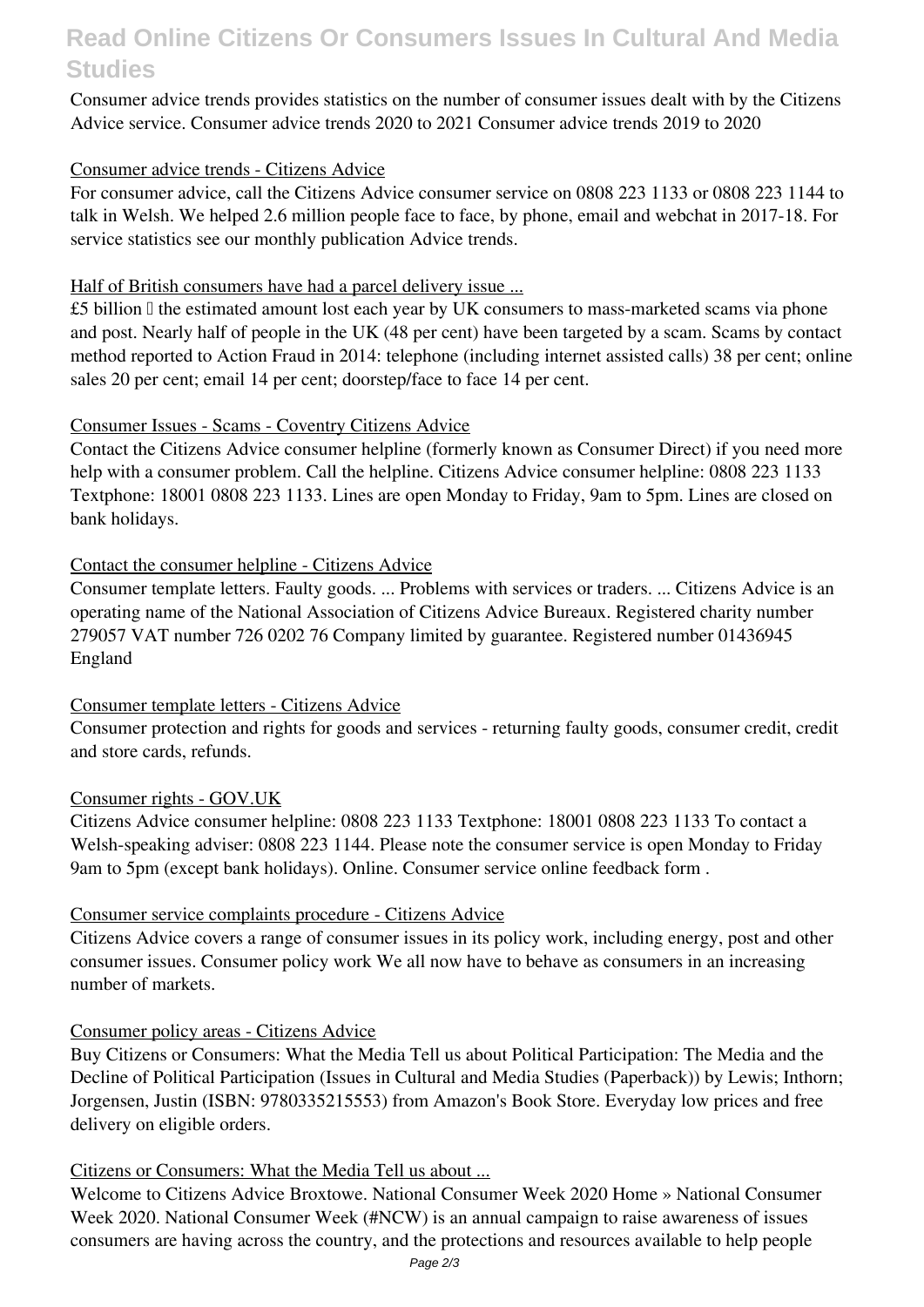# **Read Online Citizens Or Consumers Issues In Cultural And Media Studies**

Consumer advice trends provides statistics on the number of consumer issues dealt with by the Citizens Advice service. Consumer advice trends 2020 to 2021 Consumer advice trends 2019 to 2020

# Consumer advice trends - Citizens Advice

For consumer advice, call the Citizens Advice consumer service on 0808 223 1133 or 0808 223 1144 to talk in Welsh. We helped 2.6 million people face to face, by phone, email and webchat in 2017-18. For service statistics see our monthly publication Advice trends.

# Half of British consumers have had a parcel delivery issue ...

 $£5$  billion  $\Box$  the estimated amount lost each year by UK consumers to mass-marketed scams via phone and post. Nearly half of people in the UK (48 per cent) have been targeted by a scam. Scams by contact method reported to Action Fraud in 2014: telephone (including internet assisted calls) 38 per cent; online sales 20 per cent; email 14 per cent; doorstep/face to face 14 per cent.

# Consumer Issues - Scams - Coventry Citizens Advice

Contact the Citizens Advice consumer helpline (formerly known as Consumer Direct) if you need more help with a consumer problem. Call the helpline. Citizens Advice consumer helpline: 0808 223 1133 Textphone: 18001 0808 223 1133. Lines are open Monday to Friday, 9am to 5pm. Lines are closed on bank holidays.

# Contact the consumer helpline - Citizens Advice

Consumer template letters. Faulty goods. ... Problems with services or traders. ... Citizens Advice is an operating name of the National Association of Citizens Advice Bureaux. Registered charity number 279057 VAT number 726 0202 76 Company limited by guarantee. Registered number 01436945 England

# Consumer template letters - Citizens Advice

Consumer protection and rights for goods and services - returning faulty goods, consumer credit, credit and store cards, refunds.

# Consumer rights - GOV.UK

Citizens Advice consumer helpline: 0808 223 1133 Textphone: 18001 0808 223 1133 To contact a Welsh-speaking adviser: 0808 223 1144. Please note the consumer service is open Monday to Friday 9am to 5pm (except bank holidays). Online. Consumer service online feedback form .

# Consumer service complaints procedure - Citizens Advice

Citizens Advice covers a range of consumer issues in its policy work, including energy, post and other consumer issues. Consumer policy work We all now have to behave as consumers in an increasing number of markets.

# Consumer policy areas - Citizens Advice

Buy Citizens or Consumers: What the Media Tell us about Political Participation: The Media and the Decline of Political Participation (Issues in Cultural and Media Studies (Paperback)) by Lewis; Inthorn; Jorgensen, Justin (ISBN: 9780335215553) from Amazon's Book Store. Everyday low prices and free delivery on eligible orders.

# Citizens or Consumers: What the Media Tell us about ...

Welcome to Citizens Advice Broxtowe. National Consumer Week 2020 Home » National Consumer Week 2020. National Consumer Week (#NCW) is an annual campaign to raise awareness of issues consumers are having across the country, and the protections and resources available to help people